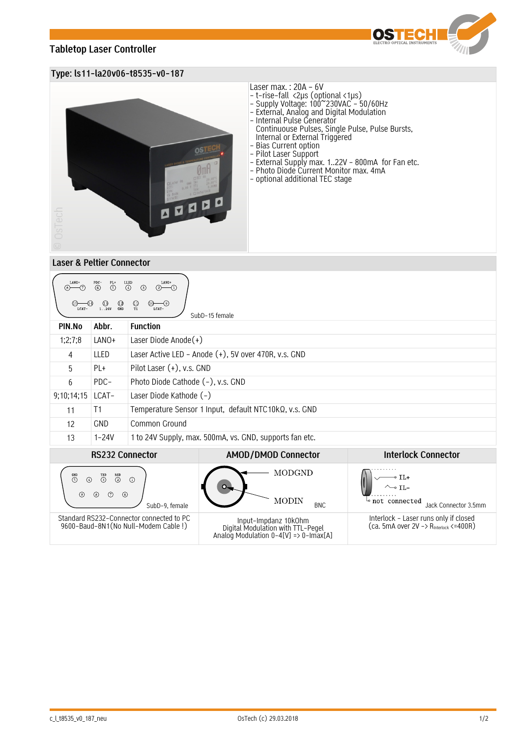# **Tabletop Laser Controller**



## **Type: ls11-la20v06-t8535-v0-187**



## Laser max. : 20A – 6V

- t-rise-fall <2µs (optional <1µs)
- Supply Voltage: 100~230VAC 50/60Hz
- External, Analog and Digital Modulation
- Internal Pulse Generator
- Continuouse Pulses, Single Pulse, Pulse Bursts, Internal or External Triggered
- Bias Current option
- Pilot Laser Support
- External Supply max. 1..22V 800mA for Fan etc.
- Photo Diode Current Monitor max. 4mA
- optional additional TEC stage

### **Laser & Peltier Connector**

| LANO+<br>LANO+<br>LLED<br>PL+<br>$\circledS$<br>$\circled{4}$<br>$\circledcirc$<br>$\circled{3}$<br>-(7)<br>-17<br>(2)<br>(8)-<br>$\bigcirc_{T1}$<br>$\frac{1}{2}$<br>1. .24V<br>LCAT-<br>LCAT-<br>SubD-15 female |            |                                                         |                                                                                                      |                                                                                             |  |
|-------------------------------------------------------------------------------------------------------------------------------------------------------------------------------------------------------------------|------------|---------------------------------------------------------|------------------------------------------------------------------------------------------------------|---------------------------------------------------------------------------------------------|--|
| PIN.No                                                                                                                                                                                                            | Abbr.      | <b>Function</b>                                         |                                                                                                      |                                                                                             |  |
| 1;2;7;8                                                                                                                                                                                                           | LANO+      | Laser Diode Anode $(+)$                                 |                                                                                                      |                                                                                             |  |
| 4                                                                                                                                                                                                                 | LLED       | Laser Active LED - Anode (+), 5V over 470R, v.s. GND    |                                                                                                      |                                                                                             |  |
| 5                                                                                                                                                                                                                 | PL+        | Pilot Laser (+), v.s. GND                               |                                                                                                      |                                                                                             |  |
| 6                                                                                                                                                                                                                 | PDC-       | Photo Diode Cathode (-), v.s. GND                       |                                                                                                      |                                                                                             |  |
| 9;10;14;15                                                                                                                                                                                                        | LCAT-      | Laser Diode Kathode (-)                                 |                                                                                                      |                                                                                             |  |
| 11                                                                                                                                                                                                                | T1         | Temperature Sensor 1 Input, default NTC10kQ, v.s. GND   |                                                                                                      |                                                                                             |  |
| 12                                                                                                                                                                                                                | <b>GND</b> | Common Ground                                           |                                                                                                      |                                                                                             |  |
| 13                                                                                                                                                                                                                | $1 - 24V$  | 1 to 24V Supply, max. 500mA, vs. GND, supports fan etc. |                                                                                                      |                                                                                             |  |
| <b>RS232 Connector</b>                                                                                                                                                                                            |            |                                                         | <b>AMOD/DMOD Connector</b>                                                                           | <b>Interlock Connector</b>                                                                  |  |
| $\overset{\text{RXD}}{\textcircled{2}}$<br>$\overset{\text{GND}}{5}$<br>$\overline{\mathbb{O}}$<br>$\circled{4}$<br>$\circ$<br>$^{\circ}$<br>$\circledcirc$<br>⊛<br>$\odot$<br>SubD-9. female                     |            |                                                         | <b>MODGND</b><br><b>MODIN</b><br><b>BNC</b>                                                          | $IL+$<br>$\sim$ IL-<br>∾not connected<br>Jack Connector 3.5mm                               |  |
| Standard RS232-Connector connected to PC<br>9600-Baud-8N1(No Null-Modem Cable!)                                                                                                                                   |            |                                                         | Input-Impdanz 10k0hm<br>Digital Modulation with TTL-Pegel<br>Analog Modulation $0-4[V]$ => 0-Imax[A] | Interlock - Laser runs only if closed<br>$(ca. 5mA over 2V \rightarrow RInterlock < -400R)$ |  |